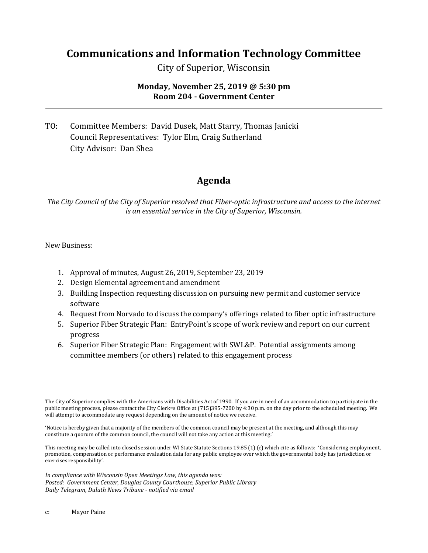## **Communications and Information Technology Committee**

City of Superior, Wisconsin

## **Monday, November 25, 2019 @ 5:30 pm Room 204 - Government Center**

TO: Committee Members: David Dusek, Matt Starry, Thomas Janicki Council Representatives: Tylor Elm, Craig Sutherland City Advisor: Dan Shea

## **Agenda**

*The City Council of the City of Superior resolved that Fiber-optic infrastructure and access to the internet is an essential service in the City of Superior, Wisconsin.*

New Business:

- 1. Approval of minutes, August 26, 2019, September 23, 2019
- 2. Design Elemental agreement and amendment
- 3. Building Inspection requesting discussion on pursuing new permit and customer service software
- 4. Request from Norvado to discuss the company's offerings related to fiber optic infrastructure
- 5. Superior Fiber Strategic Plan: EntryPoint's scope of work review and report on our current progress
- 6. Superior Fiber Strategic Plan: Engagement with SWL&P. Potential assignments among committee members (or others) related to this engagement process

The City of Superior complies with the Americans with Disabilities Act of 1990. If you are in need of an accommodation to participate in the public meeting process, please contact the City Clerk=s Office at (715)395-7200 by 4:30 p.m. on the day prior to the scheduled meeting. We will attempt to accommodate any request depending on the amount of notice we receive.

'Notice is hereby given that a majority of the members of the common council may be present at the meeting, and although this may constitute a quorum of the common council, the council will not take any action at this meeting.'

This meeting may be called into closed session under WI State Statute Sections 19.85 (1) (c) which cite as follows: 'Considering employment, promotion, compensation or performance evaluation data for any public employee over which the governmental body has jurisdiction or exercises responsibility'.

*In compliance with Wisconsin Open Meetings Law, this agenda was: Posted: Government Center, Douglas County Courthouse, Superior Public Library Daily Telegram, Duluth News Tribune - notified via email*